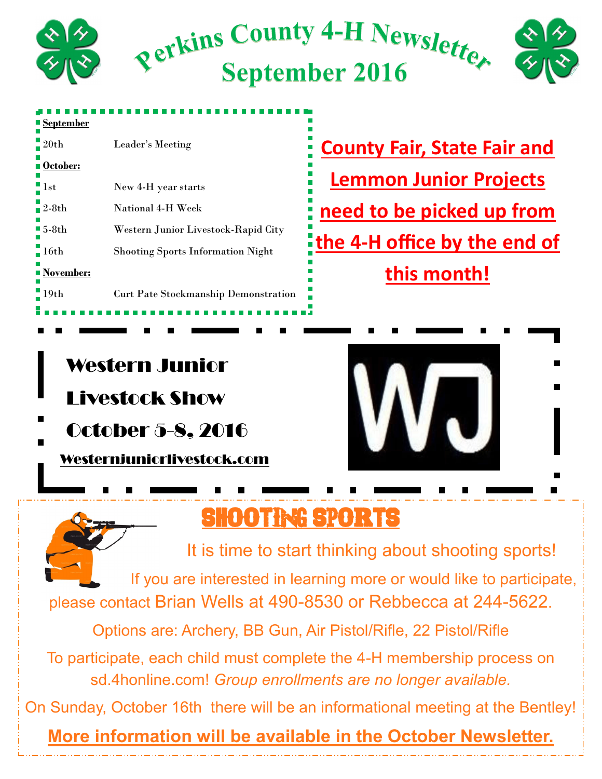

| <b>September</b>     |                                             |
|----------------------|---------------------------------------------|
| $-20th$              | Leader's Meeting                            |
| <b>October:</b>      |                                             |
| $\blacksquare$ 1st   | New 4-H year starts                         |
| $2-8th$              | National 4-H Week                           |
| $\blacksquare$ 5-8th | Western Junior Livestock-Rapid City         |
| $-16th$              | <b>Shooting Sports Information Night</b>    |
| ■ November:          |                                             |
| 19 <sub>th</sub>     | <b>Curt Pate Stockmanship Demonstration</b> |
|                      |                                             |

**County Fair, State Fair and Lemmon Junior Projects need to be picked up from the 4-H office by the end of this month!** 

#### Western Junior

Livestock Show

October 5-8, 2016

Westernjuniorlivestock.com



## **SHOOTING SPORTS**

It is time to start thinking about shooting sports! If you are interested in learning more or would like to participate, please contact Brian Wells at 490-8530 or Rebbecca at 244-5622.

Options are: Archery, BB Gun, Air Pistol/Rifle, 22 Pistol/Rifle

To participate, each child must complete the 4-H membership process on sd.4honline.com! *Group enrollments are no longer available.* 

On Sunday, October 16th there will be an informational meeting at the Bentley!

**More information will be available in the October Newsletter.**